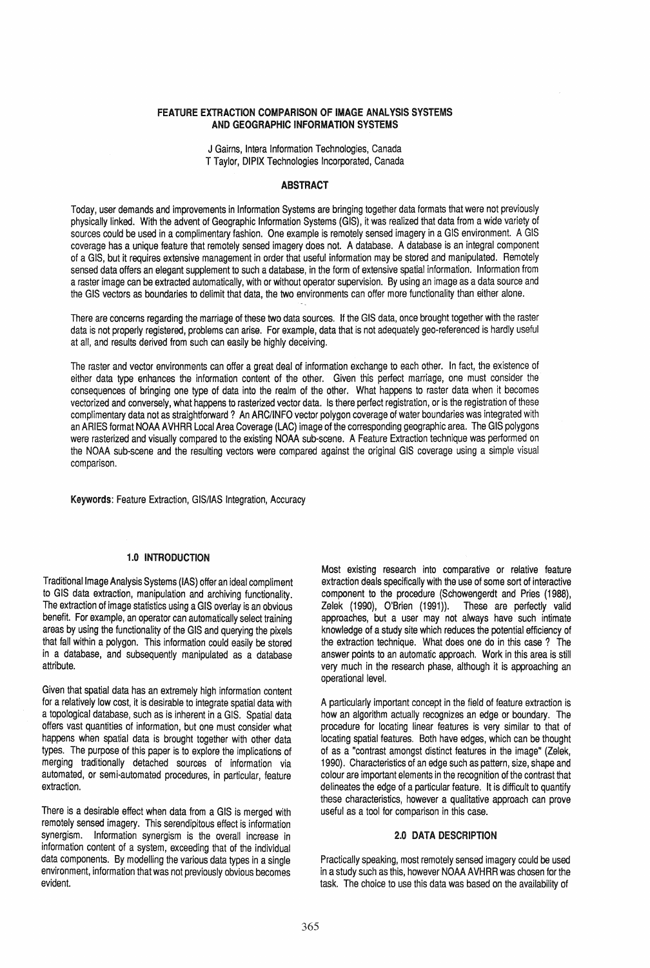#### FEATURE EXTRACTION COMPARISON OF IMAGE ANALYSIS SYSTEMS AND GEOGRAPHIC INFORMATION SYSTEMS

J Gairns, Intera Information Technologies, Canada T Taylor, DIPIX Technologies Incorporated, Canada

## ABSTRACT

Today, user demands and improvements in Information Systems are bringing together data formats that were not previously physically linked. With the advent of Geographic Information Systems (GIS), it was realized that data from a wide variety of sources could be used in a complimentary fashion. One example is remotely sensed imagery in a GIS environment. A GIS coverage has a unique feature that remotely sensed imagery does not. A database. A database is an integral component of a GIS, but it requires extensive management in order that useful information may be stored and manipulated. Remotely sensed data offers an elegant supplement to such a database, in the form of extensive spatial information. Information from a raster image can be extracted automatically, with or without operator supervision. By using an image as a data source and the GIS vectors as boundaries to delimit that data, the two environments can offer more functionality than either alone.

There are concerns regarding the marriage of these two data sources. If the GIS data, once brought together with the raster data is not properly registered, problems can arise. For example, data that is not adequately geo-referenced is hardly useful at all, and results derived from such can easily be highly deceiving.

The raster and vector environments can offer a great deal of information exchange to each other. In fact, the existence of either data type enhances the information content of the other. Given this perfect marriage, one must consider the consequences of bringing one type of data into the realm of the other. What happens to raster data when it becomes vectorized and conversely, what happens to rasterized vector data. Is there perfect registration, or is the registration of these complimentary data not as straightforward? An ARC/INFO vector polygon coverage of water boundaries was integrated with an ARIES format NOAA AVHRR Local Area Coverage (LAC) image of the corresponding geographic area. The GIS polygons were rasterized and visually compared to the existing NOAA sub-scene. A Feature Extraction technique was performed on the NOAA sub-scene and the resulting vectors were compared against the original GIS coverage using a simple visual comparison.

Keywords: Feature Extraction, GIS/lAS Integration, Accuracy

## 1.0 INTRODUCTION

Traditional Image Analysis Systems (lAS) offer an ideal compliment to GIS data extraction, manipulation and archiving functionality. The extraction of image statistics using a GIS overlay is an obvious benefit. For example, an operator can automatically select training areas by using the functionality of the GIS and querying the pixels that fall within a polygon. This information could easily be stored in a database, and subsequently manipulated as a database attribute.

Given that spatial data has an extremely high information content for a relatively low cost, it is desirable to integrate spatial data with a topological database, such as is inherent in a GIS. Spatial data offers vast quantities of information, but one must consider what happens when spatial data is brought together with other data types. The purpose of this paper is to explore the implications of merging traditionally detached sources of information via automated, or semi-automated procedures, in particular, feature extraction.

There is a desirable effect when data from a GIS is merged with remotely sensed imagery. This serendipitous effect is information synergism. Information synergism is the overall increase in information content of a system, exceeding that of the individual data components. By modelling the various data types in a single environment, information that was not previously obvious becomes evident.

Most existing research into comparative or relative feature extraction deals specifically with the use of some sort of interactive component to the procedure (Schowengerdt and Pries (1988), Zelek (1990), O'Brien (1991)). These are perfectly valid approaches, but a user may not always have such intimate knowledge of a study site which reduces the potential efficiency of the extraction technique. What does one do in this case? The answer points to an automatic approach. Work in this area is still very much in the research phase, although it is approaching an operational level.

A particularly important concept in the field of feature extraction is how an algorithm actually recognizes an edge or boundary. The procedure for locating linear features is very similar to that of locating spatial features. Both have edges, which can be thought of as a "contrast amongst distinct features in the image" (Zelek, 1990). Characteristics of an edge such as pattern, size, shape and colour are important elements in the recognition of the contrast that delineates the edge of a particular feature. It is difficult to quantify these characteristics, however a qualitative approach can prove useful as a tool for comparison in this case.

## 2.0 DATA DESCRIPTION

Practically speaking, most remotely sensed imagery could be used in a study such as this, however NOAA AVHRR was chosen for the task. The choice to use this data was based on the availability of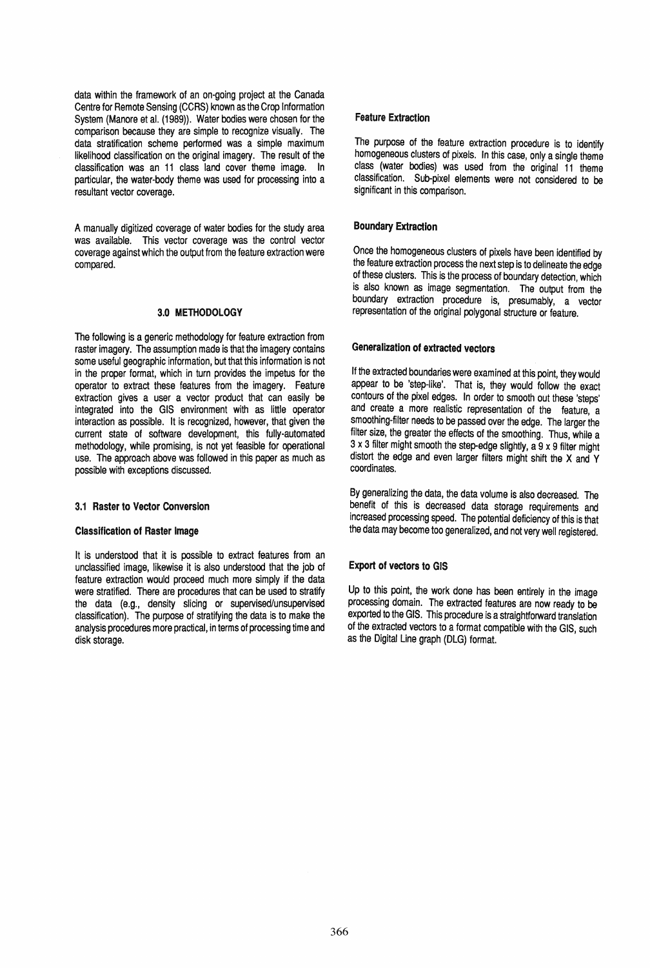data within the framework of an on-going project at the Canada Centre for Remote Sensing (CCRS) known as the Crop Information System (Manore et al. (1989)). Water bodies were chosen for the comparison because they are simple to recognize visually. The data stratification scheme performed was a simple maximum likelihood classification on the original imagery. The result of the classification was an 11 class land cover theme image. In particular, the water-body theme was used for processing into a resultant vector coverage.

A manually digitized coverage of water bodies for the study area was available. This vector coverage was the control vector coverage against which the output from the feature extraction were compared.

#### 3.0 METHODOLOGY

The following is a generic methodology for feature extraction from raster imagery. The assumption made is that the imagery contains some useful geographic information, but that this information is not in the proper format, which in turn provides the impetus for the operator to extract these features from the imagery. Feature extraction gives a user a vector product that can easily be integrated into the GIS environment with as little operator interaction as possible. It is recognized, however, that given the current state of software development, this fully-automated methodology, while promising, is not yet feasible for operational use. The approach above was followed in this paper as much as possible with exceptions discussed.

## 3.1 Raster to Vector Conversion

#### Classification of Raster Image

It is understood that it is possible to extract features from an unclassified image, likewise it is also understood that the job of feature extraction would proceed much more simply if the data were stratified. There are procedures that can be used to stratify the data (e.g., density slicing or supervised/unsupervised classification). The purpose of stratifying the data is to make the analysis procedures more practical, in terms of processing time and disk storage.

## Feature Extraction

The purpose of the feature extraction procedure is to identify homogeneous clusters of pixels. In this case, only a single theme class (water bodies) was used from the original 11 theme classification. Sub-pixel elements were not considered to be significant in this comparison.

# Boundary Extraction

Once the homogeneous clusters of pixels have been identified by the feature extraction process the next step is to delineate the edge of these clusters. This is the process of boundary detection, which is also known as image segmentation. The output from the boundary extraction procedure is, presumably, a vector representation of the original polygonal structure or feature.

# Generalization of extracted vectors

If the extracted boundaries were examined at this point, they would appear to be 'step-like'. That is, they would follow the exact contours of the pixel edges. In order to smooth out these 'steps' and create a more realistic representation of the feature, a smoothing-filter needs to be passed over the edge. The larger the filter size, the greater the effects of the smoothing. Thus, while a  $3 \times 3$  filter might smooth the step-edge slightly, a  $9 \times 9$  filter might distort the edge and even larger filters might shift the X and Y coordinates.

By generalizing the data, the data volume is also decreased. The benefit of this is decreased data storage requirements and increased processing speed. The potential deficiency of this is that the data may become too generalized, and not very well registered.

# Export of vectors to GIS

Up to this point, the work done has been entirely in the image processing domain. The extracted features are now ready to be exported to the GIS. This procedure is a straightforward translation of the extracted vectors to a format compatible with the GIS, such as the Digital Line graph (DLG) format.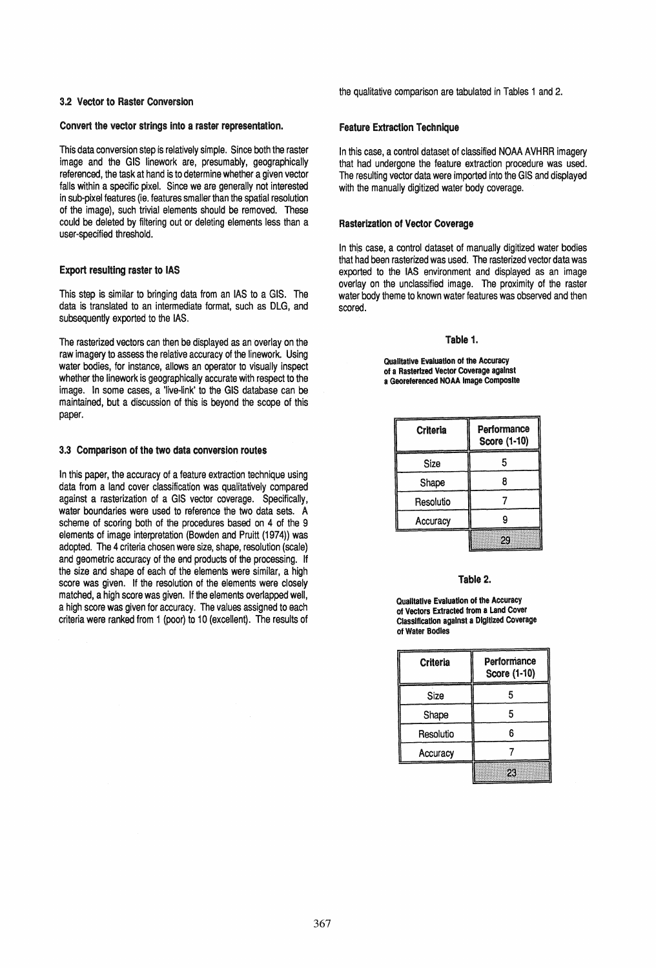#### 3.2 Vector to Raster Conversion

#### Convert the vector strings into a raster representation.

This data conversion step is relatively simple. Since both the raster image and the GIS linework are, presumably, geographically referenced, the task at hand is to determine whether a given vector falls within a specific pixel. Since we are generally not interested in sub-pixel features (ie. features smaller than the spatial resolution of the image), such trivial elements should be removed. These could be deleted by filtering out or deleting elements less than a user-specified threshold.

## Export resulting raster to lAS

This step is similar to bringing data from an lAS to a GIS. The data is translated to an intermediate format, such as DLG, and subsequently exported to the lAS.

The rasterized vectors can then be displayed as an overlay on the raw imagery to assess the relative accuracy of the linework. Using water bodies, for instance, allows an operator to visually inspect whether the linework is geographically accurate with respect to the image. In some cases, a 'live-link' to the GIS database can be maintained, but a discussion of this is beyond the scope of this paper.

## 3.3 Comparison of the two data conversion routes

In this paper, the accuracy of a feature extraction technique using data from a land cover classification was qualitatively compared against a rasterization of a GIS vector coverage. Specifically, water boundaries were used to reference the two data sets. A scheme of scoring both of the procedures based on 4 of the 9 elements of image interpretation (Bowden and Pruitt (1974)) was adopted. The 4 criteria chosen were size, shape, resolution (scale) and geometric accuracy of the end products of the processing. If the size and shape of each of the elements were similar, a high score was given. If the resolution of the elements were closely matched, a high score was given. If the elements overlapped well, a high score was given for accuracy. The values assigned to each criteria were ranked from 1 (poor) to 10 (excellent). The results of the qualitative comparison are tabulated in Tables 1 and 2.

#### Feature Extraction Technique

In this case, a control dataset of classified NOAA AVHRR imagery that had undergone the feature extraction procedure was used. The resulting vector data were imported into the GIS and displayed with the manually digitized water body coverage.

#### Rasterization of Vector Coverage

In this case, a control dataset of manually digitized water bodies that had been rasterized was used. The rasterized vector data was exported to the lAS environment and displayed as an image overlay on the unclassified image. The proximity of the raster water body theme to known water features was observed and then scored.

#### Table 1.

Qualitative Evaluation of the Accuracy of a Rasterlzed Vector Coverage against a Georeferenced NOAA Image Composite

| Criteria  | Performance<br>Score (1-10) |
|-----------|-----------------------------|
| Size      | 5                           |
| Shape     |                             |
| Resolutio |                             |
| Accuracy  | 9                           |
|           | 29                          |

#### Table 2.

Qualitative Evaluation of the Accuracy of Vectors Extracted from a land Cover ClaSSification against a Digitized Coverage of Water Bodies

| <b>Criteria</b> | Performance<br>Score (1-10) |
|-----------------|-----------------------------|
| Size            | 5                           |
| Shape           | 5                           |
| Resolutio       | 6                           |
| Accuracy        |                             |
|                 | 23                          |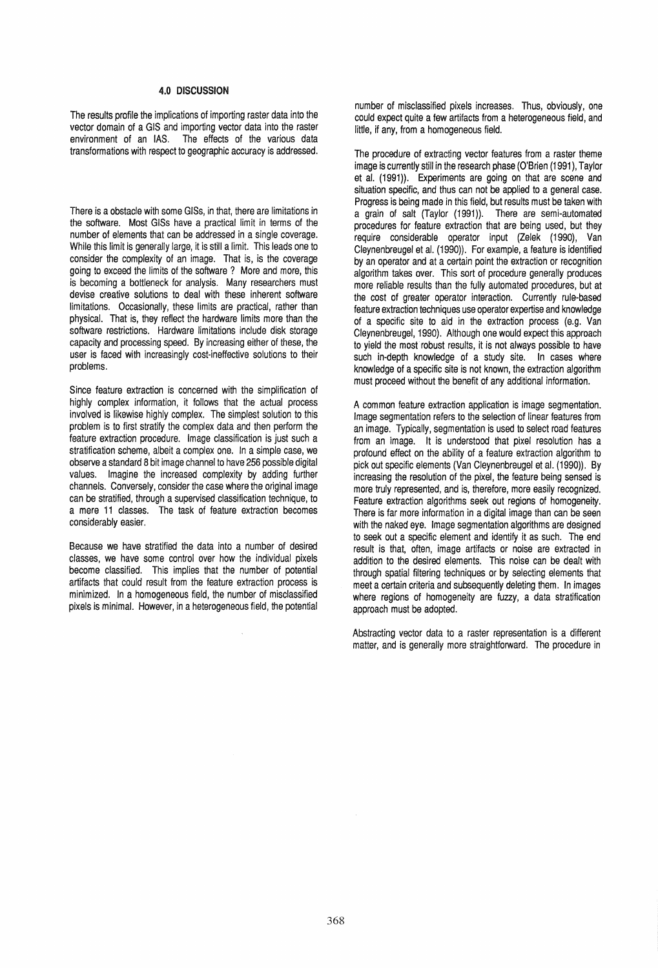## 4.0 DISCUSSION

The results profile the implications of importing raster data into the vector domain of a GIS and importing vector data into the raster environment of an lAS. The effects of the various data transformations with respect to geographic accuracy is addressed.

There is a obstacle with some GISs, in that, there are limitations in the software. Most GISs have a practical limit in terms of the number of elements that can be addressed in a single coverage. While this limit is generally large, it is still a limit. This leads one to consider the complexity of an image. That is, is the coverage going to exceed the limits of the software? More and more, this is becoming a bottleneck for analysis. Many researchers must devise creative solutions to deal with these inherent software limitations. Occasionally, these limits are practical, rather than physical. That is, they reflect the hardware limits more than the software restrictions. Hardware limitations include disk storage capacity and processing speed. By increasing either of these, the user is faced with increasingly cost-ineffective solutions to their problems.

Since feature extraction is concerned with the simplification of highly complex information, it follows that the actual process involved is likewise highly complex. The simplest solution to this problem is to first stratify the complex data and then perform the feature extraction procedure. Image classification is just such a stratification scheme, albeit a complex one. In a simple case, we observe a standard B bit image channel to have 256 possible digital values. Imagine the increased complexity by adding further channels. Conversely, consider the case where the original image can be stratified, through a supervised classification technique, to a mere 11 classes. The task of feature extraction becomes considerably easier.

Because we have stratified the data into a number of desired classes, we have some control over how the individual pixels become classified. This implies that the number of potential artifacts that could result from the feature extraction process is minimized. In a homogeneous field, the number of misclassified pixels is minimal. However, in a heterogeneous field, the potential number of misclassified pixels increases. Thus, obviously, one could expect quite a few artifacts from a heterogeneous field, and little, if any, from a homogeneous field.

The procedure of extracting vector features from a raster theme image is currently still in the research phase (O'Brien (1991), Taylor et al. (1991)). Experiments are going on that are scene and situation specific, and thus can not be applied to a general case. Progress is being made in this field, but results must be taken with a grain of salt (Taylor (1991)). There are semi-automated procedures for feature extraction that are being used, but they require considerable operator input (Zelek (1990), Van Cleynenbreugel et al. (1990)). For example, a feature is identified by an operator and at a certain point the extraction or recognition algorithm takes over. This sort of procedure generally produces more reliable results than the fully automated procedures, but at the cost of greater operator interaction. Currently rule-based feature extraction techniques use operator expertise and knowledge of a specific site to aid in the extraction process (e.g. Van Cleynenbreugel, 1990). Although one would expect this approach to yield the most robust results, it is not always possible to have such in-depth knowledge of a study site. In cases where knowledge of a specific site is not known, the extraction algorithm must proceed without the benefit of any additional information.

A common feature extraction application is image segmentation. Image segmentation refers to the selection of linear features from an image. Typically, segmentation is used to select road features from an image. It is understood that pixel resolution has a profound effect on the ability of a feature extraction algorithm to pick out specific elements (Van Cleynenbreugel et al. (1990)). By increasing the resolution of the pixel, the feature being sensed is more truly represented, and is, therefore, more easily recognized. Feature extraction algorithms seek out regions of homogeneity. There is far more information in a digital image than can be seen with the naked eye. Image segmentation algorithms are designed to seek out a specific element and identify it as such. The end result is that, often, image artifacts or noise are extracted in addition to the desired elements. This noise can be dealt with through spatial filtering techniques or by selecting elements that meet a certain criteria and subsequently deleting them. In images where regions of homogeneity are fuzzy, a data stratification approach must be adopted.

Abstracting vector data to a raster representation is a different matter, and is generally more straightforward. The procedure in